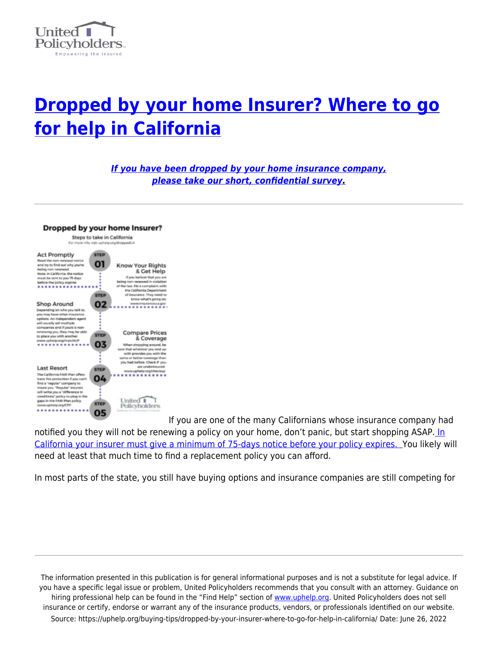

# **[Dropped by your home Insurer? Where to go](https://uphelp.org/buying-tips/dropped-by-your-insurer-where-to-go-for-help-in-california/) [for help in California](https://uphelp.org/buying-tips/dropped-by-your-insurer-where-to-go-for-help-in-california/)**

*[If you have been dropped by your home insurance company,](http://uphelp.org/cahomesurvey) [please take our short, confidential survey](http://uphelp.org/cahomesurvey).*



[I](https://uphelp.org/wp-content/uploads/2020/09/2020-DROPPED-CA-Dropped-by-your-Insurer.png)f you are one of the many Californians whose insurance company had notified you they will not be renewing a policy on your home, don't panic, but start shopping ASAP. [In](http://leginfo.legislature.ca.gov/faces/codes_displaySection.xhtml?lawCode=INS§ionNum=678.) [California your insurer must give a minimum of 75-days notice before your policy expires.](http://leginfo.legislature.ca.gov/faces/codes_displaySection.xhtml?lawCode=INS§ionNum=678.) You likely will need at least that much time to find a replacement policy you can afford.

In most parts of the state, you still have buying options and insurance companies are still competing for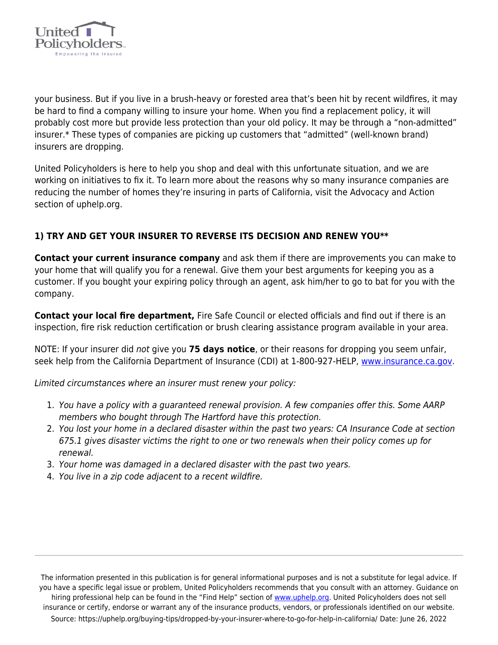

your business. But if you live in a brush-heavy or forested area that's been hit by recent wildfires, it may be hard to find a company willing to insure your home. When you find a replacement policy, it will probably cost more but provide less protection than your old policy. It may be through a "non-admitted" insurer.\* These types of companies are picking up customers that "admitted" (well-known brand) insurers are dropping.

United Policyholders is here to help you shop and deal with this unfortunate situation, and we are working on initiatives to fix it. To learn more about the reasons why so many insurance companies are reducing the number of homes they're insuring in parts of California, visit the Advocacy and Action section of uphelp.org.

## **1) TRY AND GET YOUR INSURER TO REVERSE ITS DECISION AND RENEW YOU\*\***

**Contact your current insurance company** and ask them if there are improvements you can make to your home that will qualify you for a renewal. Give them your best arguments for keeping you as a customer. If you bought your expiring policy through an agent, ask him/her to go to bat for you with the company.

**Contact your local fire department,** Fire Safe Council or elected officials and find out if there is an inspection, fire risk reduction certification or brush clearing assistance program available in your area.

NOTE: If your insurer did not give you **75 days notice**, or their reasons for dropping you seem unfair, seek help from the California Department of Insurance (CDI) at 1-800-927-HELP, [www.insurance.ca.gov](http://www.insurance.ca.gov).

Limited circumstances where an insurer must renew your policy:

- 1. You have a policy with a guaranteed renewal provision. A few companies offer this. Some AARP members who bought through The Hartford have this protection.
- 2. You lost your home in a declared disaster within the past two years: CA Insurance Code at section 675.1 gives disaster victims the right to one or two renewals when their policy comes up for renewal.
- 3. Your home was damaged in a declared disaster with the past two years.
- 4. You live in a zip code adjacent to a recent wildfire.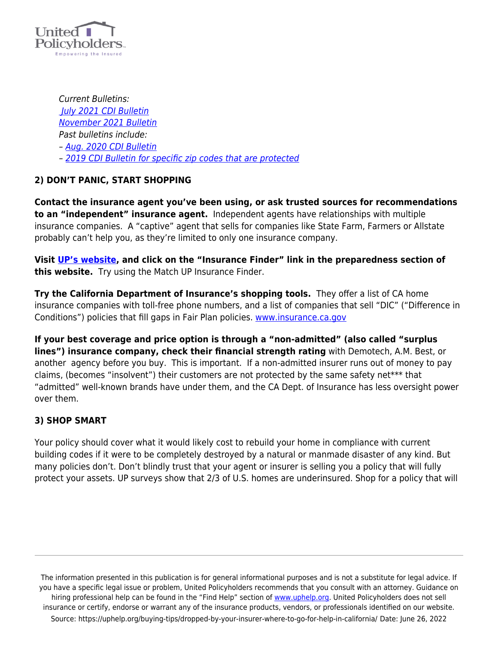

Current Bulletins:  [July 2021 CDI Bulletin](https://uphelp.org/wp-content/uploads/2020/09/bulletin-2021-04-moratorium-july-16-declaration.pdf) [November 2021 Bulletin](https://uphelp.org/wp-content/uploads/2020/09/Nov-10-Bulletin.pdf) Past bulletins include: – [Aug. 2020 CDI Bulletin](https://uphelp.org/wp-content/uploads/2020/09/notice_sb_824_moratorium.pdf) – [2019 CDI Bulletin for specific zip codes that are protected](http://www.insurance.ca.gov/0250-insurers/0300-insurers/0200-bulletins/bulletin-notices-commiss-opinion/upload/MandatoryMoratoriumOnNonRenewalsAfterRecentWildfireActivity.pdf)

### **2) DON'T PANIC, START SHOPPING**

**Contact the insurance agent you've been using, or ask trusted sources for recommendations to an "independent" insurance agent.** Independent agents have relationships with multiple insurance companies. A "captive" agent that sells for companies like State Farm, Farmers or Allstate probably can't help you, as they're limited to only one insurance company.

**Visit [UP's website](https://uphelp.org/), and click on the "Insurance Finder" link in the preparedness section of this website.** Try using the Match UP Insurance Finder.

**Try the California Department of Insurance's shopping tools.** They offer a list of CA home insurance companies with toll-free phone numbers, and a list of companies that sell "DIC" ("Difference in Conditions") policies that fill gaps in Fair Plan policies. [www.insurance.ca.gov](http://www.insurance.ca.gov)

**If your best coverage and price option is through a "non-admitted" (also called "surplus lines") insurance company, check their financial strength rating** with Demotech, A.M. Best, or another agency before you buy. This is important. If a non-admitted insurer runs out of money to pay claims, (becomes "insolvent") their customers are not protected by the same safety net\*\*\* that "admitted" well-known brands have under them, and the CA Dept. of Insurance has less oversight power over them.

### **3) SHOP SMART**

Your policy should cover what it would likely cost to rebuild your home in compliance with current building codes if it were to be completely destroyed by a natural or manmade disaster of any kind. But many policies don't. Don't blindly trust that your agent or insurer is selling you a policy that will fully protect your assets. UP surveys show that 2/3 of U.S. homes are underinsured. Shop for a policy that will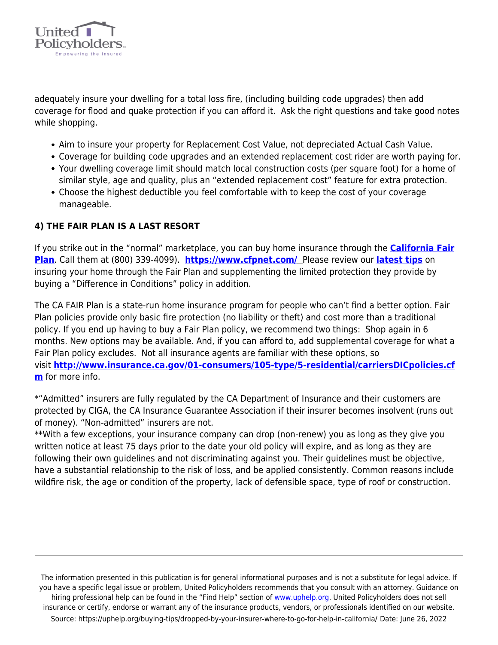

adequately insure your dwelling for a total loss fire, (including building code upgrades) then add coverage for flood and quake protection if you can afford it. Ask the right questions and take good notes while shopping.

- Aim to insure your property for Replacement Cost Value, not depreciated Actual Cash Value.
- Coverage for building code upgrades and an extended replacement cost rider are worth paying for.
- Your dwelling coverage limit should match local construction costs (per square foot) for a home of similar style, age and quality, plus an "extended replacement cost" feature for extra protection.
- Choose the highest deductible you feel comfortable with to keep the cost of your coverage manageable.

### **4) THE FAIR PLAN IS A LAST RESORT**

If you strike out in the "normal" marketplace, you can buy home insurance through the **[California Fair](https://uphelp.org/buying-tips/the-lowdown-from-up-on-the-california-fair-plan-the-last-resort-option-for-insuring-your-home/) [Plan](https://uphelp.org/buying-tips/the-lowdown-from-up-on-the-california-fair-plan-the-last-resort-option-for-insuring-your-home/)**. Call them at (800) 339-4099). **<https://www.cfpnet.com/>** Please review our **[latest tips](https://www.uphelp.org/pubs/lowdown-california-fair-plan-last-resort-option-insuring-your-home)** on insuring your home through the Fair Plan and supplementing the limited protection they provide by buying a "Difference in Conditions" policy in addition.

The CA FAIR Plan is a state-run home insurance program for people who can't find a better option. Fair Plan policies provide only basic fire protection (no liability or theft) and cost more than a traditional policy. If you end up having to buy a Fair Plan policy, we recommend two things: Shop again in 6 months. New options may be available. And, if you can afford to, add supplemental coverage for what a Fair Plan policy excludes. Not all insurance agents are familiar with these options, so visit **[http://www.insurance.ca.gov/01-consumers/105-type/5-residential/carriersDICpolicies.cf](http://www.insurance.ca.gov/01-consumers/105-type/5-residential/carriersDICpolicies.cfm) [m](http://www.insurance.ca.gov/01-consumers/105-type/5-residential/carriersDICpolicies.cfm)** for more info.

\*"Admitted" insurers are fully regulated by the CA Department of Insurance and their customers are protected by CIGA, the CA Insurance Guarantee Association if their insurer becomes insolvent (runs out of money). "Non-admitted" insurers are not.

\*\*With a few exceptions, your insurance company can drop (non-renew) you as long as they give you written notice at least 75 days prior to the date your old policy will expire, and as long as they are following their own guidelines and not discriminating against you. Their guidelines must be objective, have a substantial relationship to the risk of loss, and be applied consistently. Common reasons include wildfire risk, the age or condition of the property, lack of defensible space, type of roof or construction.